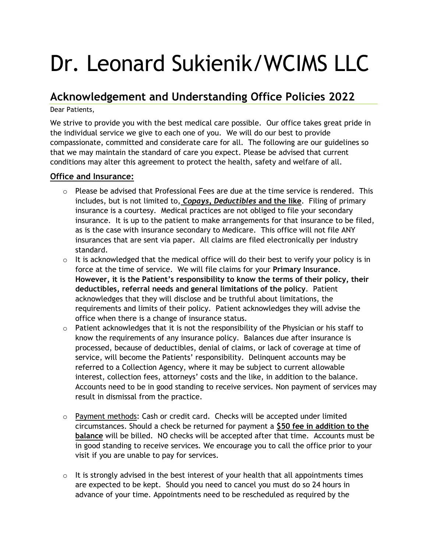# Dr. Leonard Sukienik/WCIMS LLC

## **Acknowledgement and Understanding Office Policies 2022**

Dear Patients,

We strive to provide you with the best medical care possible. Our office takes great pride in the individual service we give to each one of you. We will do our best to provide compassionate, committed and considerate care for all. The following are our guidelines so that we may maintain the standard of care you expect. Please be advised that current conditions may alter this agreement to protect the health, safety and welfare of all.

### **Office and Insurance:**

- $\circ$  Please be advised that Professional Fees are due at the time service is rendered. This includes, but is not limited to, *Copays, Deductibles* **and the like**. Filing of primary insurance is a courtesy. Medical practices are not obliged to file your secondary insurance. It is up to the patient to make arrangements for that insurance to be filed, as is the case with insurance secondary to Medicare. This office will not file ANY insurances that are sent via paper. All claims are filed electronically per industry standard.
- $\circ$  It is acknowledged that the medical office will do their best to verify your policy is in force at the time of service. We will file claims for your **Primary Insurance**. **However, it is the Patient's responsibility to know the terms of their policy, their deductibles, referral needs and general limitations of the policy**. Patient acknowledges that they will disclose and be truthful about limitations, the requirements and limits of their policy. Patient acknowledges they will advise the office when there is a change of insurance status.
- $\circ$  Patient acknowledges that it is not the responsibility of the Physician or his staff to know the requirements of any insurance policy. Balances due after insurance is processed, because of deductibles, denial of claims, or lack of coverage at time of service, will become the Patients' responsibility. Delinquent accounts may be referred to a Collection Agency, where it may be subject to current allowable interest, collection fees, attorneys' costs and the like, in addition to the balance. Accounts need to be in good standing to receive services. Non payment of services may result in dismissal from the practice.
- $\circ$  Payment methods: Cash or credit card. Checks will be accepted under limited circumstances. Should a check be returned for payment a **\$50 fee in addition to the balance** will be billed. NO checks will be accepted after that time. Accounts must be in good standing to receive services. We encourage you to call the office prior to your visit if you are unable to pay for services.
- $\circ$  It is strongly advised in the best interest of your health that all appointments times are expected to be kept. Should you need to cancel you must do so 24 hours in advance of your time. Appointments need to be rescheduled as required by the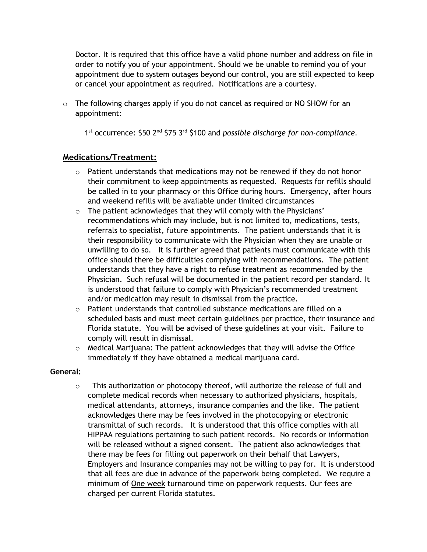Doctor. It is required that this office have a valid phone number and address on file in order to notify you of your appointment. Should we be unable to remind you of your appointment due to system outages beyond our control, you are still expected to keep or cancel your appointment as required. Notifications are a courtesy.

o The following charges apply if you do not cancel as required or NO SHOW for an appointment:

1<sup>st</sup> occurrence: \$50 2<sup>nd</sup> \$75 3<sup>rd</sup> \$100 and *possible discharge for non-compliance*.

### **Medications/Treatment:**

- $\circ$  Patient understands that medications may not be renewed if they do not honor their commitment to keep appointments as requested. Requests for refills should be called in to your pharmacy or this Office during hours. Emergency, after hours and weekend refills will be available under limited circumstances
- o The patient acknowledges that they will comply with the Physicians' recommendations which may include, but is not limited to, medications, tests, referrals to specialist, future appointments. The patient understands that it is their responsibility to communicate with the Physician when they are unable or unwilling to do so. It is further agreed that patients must communicate with this office should there be difficulties complying with recommendations. The patient understands that they have a right to refuse treatment as recommended by the Physician. Such refusal will be documented in the patient record per standard. It is understood that failure to comply with Physician's recommended treatment and/or medication may result in dismissal from the practice.
- $\circ$  Patient understands that controlled substance medications are filled on a scheduled basis and must meet certain guidelines per practice, their insurance and Florida statute. You will be advised of these guidelines at your visit. Failure to comply will result in dismissal.
- $\circ$  Medical Marijuana: The patient acknowledges that they will advise the Office immediately if they have obtained a medical marijuana card.

#### **General:**

 $\circ$  This authorization or photocopy thereof, will authorize the release of full and complete medical records when necessary to authorized physicians, hospitals, medical attendants, attorneys, insurance companies and the like. The patient acknowledges there may be fees involved in the photocopying or electronic transmittal of such records. It is understood that this office complies with all HIPPAA regulations pertaining to such patient records. No records or information will be released without a signed consent. The patient also acknowledges that there may be fees for filling out paperwork on their behalf that Lawyers, Employers and Insurance companies may not be willing to pay for. It is understood that all fees are due in advance of the paperwork being completed. We require a minimum of One week turnaround time on paperwork requests. Our fees are charged per current Florida statutes.